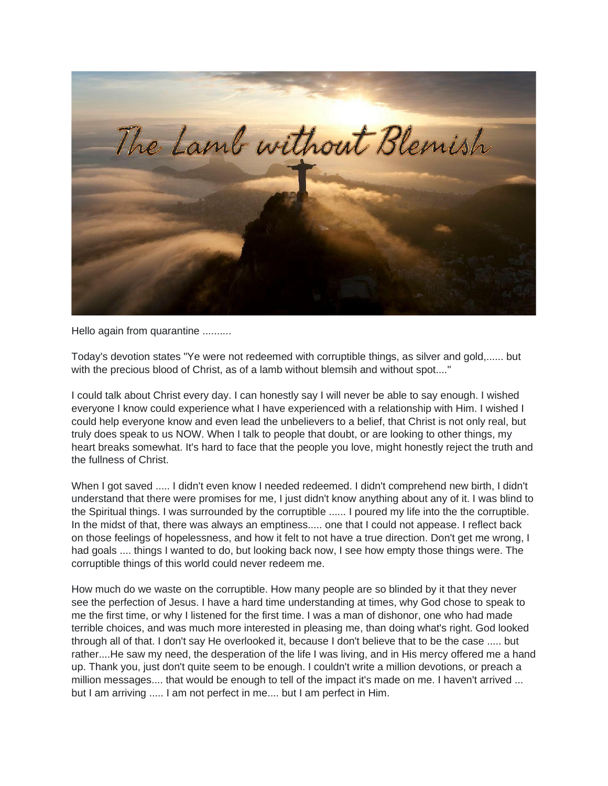

Hello again from quarantine ..........

Today's devotion states "Ye were not redeemed with corruptible things, as silver and gold,...... but with the precious blood of Christ, as of a lamb without blemsih and without spot...."

I could talk about Christ every day. I can honestly say I will never be able to say enough. I wished everyone I know could experience what I have experienced with a relationship with Him. I wished I could help everyone know and even lead the unbelievers to a belief, that Christ is not only real, but truly does speak to us NOW. When I talk to people that doubt, or are looking to other things, my heart breaks somewhat. It's hard to face that the people you love, might honestly reject the truth and the fullness of Christ.

When I got saved ..... I didn't even know I needed redeemed. I didn't comprehend new birth, I didn't understand that there were promises for me, I just didn't know anything about any of it. I was blind to the Spiritual things. I was surrounded by the corruptible ...... I poured my life into the the corruptible. In the midst of that, there was always an emptiness..... one that I could not appease. I reflect back on those feelings of hopelessness, and how it felt to not have a true direction. Don't get me wrong, I had goals .... things I wanted to do, but looking back now, I see how empty those things were. The corruptible things of this world could never redeem me.

How much do we waste on the corruptible. How many people are so blinded by it that they never see the perfection of Jesus. I have a hard time understanding at times, why God chose to speak to me the first time, or why I listened for the first time. I was a man of dishonor, one who had made terrible choices, and was much more interested in pleasing me, than doing what's right. God looked through all of that. I don't say He overlooked it, because I don't believe that to be the case ..... but rather....He saw my need, the desperation of the life I was living, and in His mercy offered me a hand up. Thank you, just don't quite seem to be enough. I couldn't write a million devotions, or preach a million messages.... that would be enough to tell of the impact it's made on me. I haven't arrived ... but I am arriving ..... I am not perfect in me.... but I am perfect in Him.